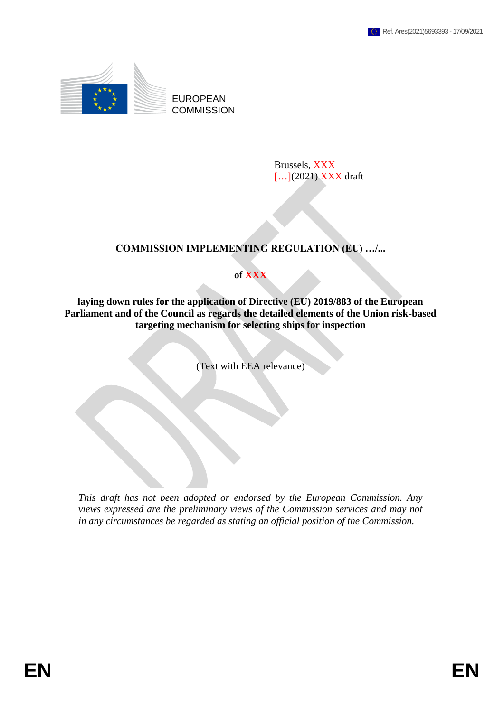

EUROPEAN **COMMISSION** 

> Brussels, XXX [...](2021) XXX draft

# **COMMISSION IMPLEMENTING REGULATION (EU) …/...**

# **of XXX**

**laying down rules for the application of Directive (EU) 2019/883 of the European Parliament and of the Council as regards the detailed elements of the Union risk-based targeting mechanism for selecting ships for inspection**

(Text with EEA relevance)

*This draft has not been adopted or endorsed by the European Commission. Any views expressed are the preliminary views of the Commission services and may not in any circumstances be regarded as stating an official position of the Commission.*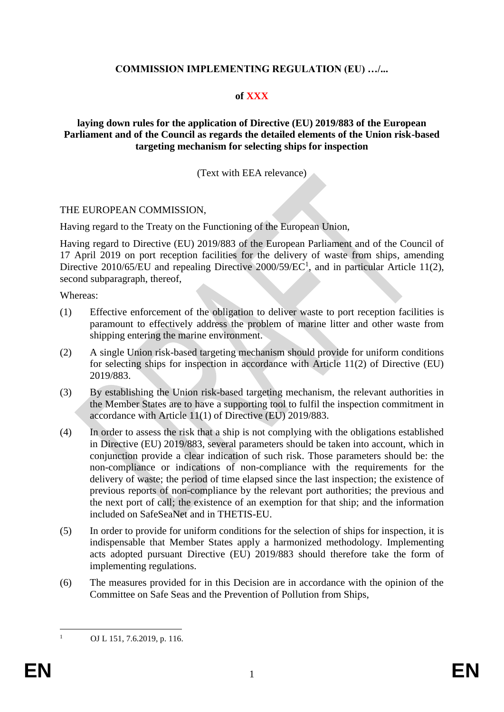# **COMMISSION IMPLEMENTING REGULATION (EU) …/...**

### **of XXX**

### **laying down rules for the application of Directive (EU) 2019/883 of the European Parliament and of the Council as regards the detailed elements of the Union risk-based targeting mechanism for selecting ships for inspection**

### (Text with EEA relevance)

#### THE EUROPEAN COMMISSION,

Having regard to the Treaty on the Functioning of the European Union,

Having regard to Directive (EU) 2019/883 of the European Parliament and of the Council of 17 April 2019 on port reception facilities for the delivery of waste from ships, amending Directive 2010/65/EU and repealing Directive 2000/59/EC<sup>1</sup>, and in particular Article 11(2), second subparagraph, thereof,

Whereas:

- (1) Effective enforcement of the obligation to deliver waste to port reception facilities is paramount to effectively address the problem of marine litter and other waste from shipping entering the marine environment.
- (2) A single Union risk-based targeting mechanism should provide for uniform conditions for selecting ships for inspection in accordance with Article 11(2) of Directive (EU) 2019/883.
- (3) By establishing the Union risk-based targeting mechanism, the relevant authorities in the Member States are to have a supporting tool to fulfil the inspection commitment in accordance with Article 11(1) of Directive (EU) 2019/883.
- (4) In order to assess the risk that a ship is not complying with the obligations established in Directive (EU) 2019/883, several parameters should be taken into account, which in conjunction provide a clear indication of such risk. Those parameters should be: the non-compliance or indications of non-compliance with the requirements for the delivery of waste; the period of time elapsed since the last inspection; the existence of previous reports of non-compliance by the relevant port authorities; the previous and the next port of call; the existence of an exemption for that ship; and the information included on SafeSeaNet and in THETIS-EU.
- (5) In order to provide for uniform conditions for the selection of ships for inspection, it is indispensable that Member States apply a harmonized methodology. Implementing acts adopted pursuant Directive (EU) 2019/883 should therefore take the form of implementing regulations.
- (6) The measures provided for in this Decision are in accordance with the opinion of the Committee on Safe Seas and the Prevention of Pollution from Ships,

 $\mathbf{1}$ 

OJ L 151, 7.6.2019, p. 116.